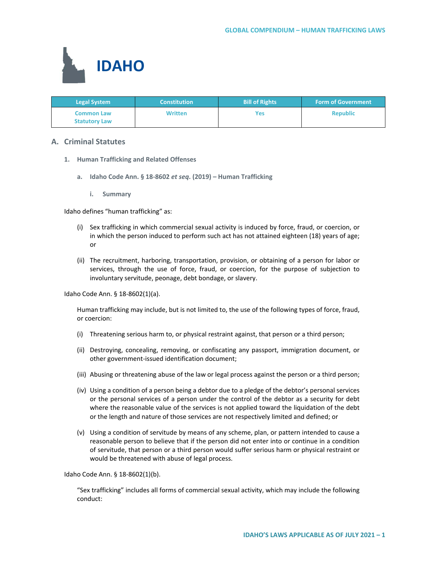

| <b>Legal System</b>                       | <b>Constitution</b> | <b>Bill of Rights</b> | <b>Form of Government</b> |
|-------------------------------------------|---------------------|-----------------------|---------------------------|
| <b>Common Law</b><br><b>Statutory Law</b> | <b>Written</b>      | Yes                   | <b>Republic</b>           |

# **A. Criminal Statutes**

- **1. Human Trafficking and Related Offenses**
	- **a. Idaho Code Ann. § 18-8602** *et seq***. (2019) – Human Trafficking**
		- **i. Summary**

Idaho defines "human trafficking" as:

- (i) Sex trafficking in which commercial sexual activity is induced by force, fraud, or coercion, or in which the person induced to perform such act has not attained eighteen (18) years of age; or
- (ii) The recruitment, harboring, transportation, provision, or obtaining of a person for labor or services, through the use of force, fraud, or coercion, for the purpose of subjection to involuntary servitude, peonage, debt bondage, or slavery.

Idaho Code Ann. § 18-8602(1)(a).

Human trafficking may include, but is not limited to, the use of the following types of force, fraud, or coercion:

- (i) Threatening serious harm to, or physical restraint against, that person or a third person;
- (ii) Destroying, concealing, removing, or confiscating any passport, immigration document, or other government-issued identification document;
- (iii) Abusing or threatening abuse of the law or legal process against the person or a third person;
- (iv) Using a condition of a person being a debtor due to a pledge of the debtor's personal services or the personal services of a person under the control of the debtor as a security for debt where the reasonable value of the services is not applied toward the liquidation of the debt or the length and nature of those services are not respectively limited and defined; or
- (v) Using a condition of servitude by means of any scheme, plan, or pattern intended to cause a reasonable person to believe that if the person did not enter into or continue in a condition of servitude, that person or a third person would suffer serious harm or physical restraint or would be threatened with abuse of legal process.

Idaho Code Ann. § 18-8602(1)(b).

"Sex trafficking" includes all forms of commercial sexual activity, which may include the following conduct: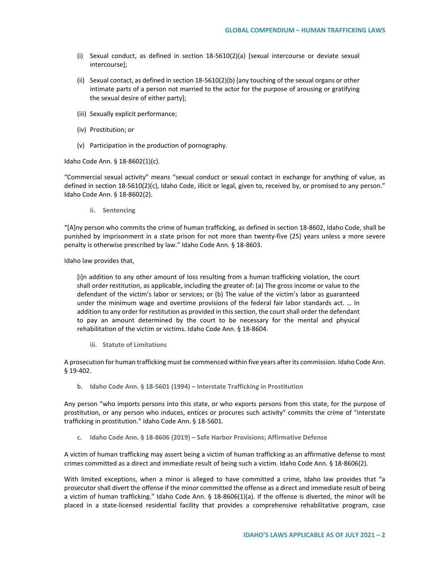- (i) Sexual conduct, as defined in section 18-5610(2)(a) [sexual intercourse or deviate sexual intercourse];
- (ii) Sexual contact, as defined in section 18-5610(2)(b) [any touching of the sexual organs or other intimate parts of a person not married to the actor for the purpose of arousing or gratifying the sexual desire of either party];
- (iii) Sexually explicit performance;
- (iv) Prostitution; or
- (v) Participation in the production of pornography.

Idaho Code Ann. § 18-8602(1)(c).

"Commercial sexual activity" means "sexual conduct or sexual contact in exchange for anything of value, as defined in section 18-5610(2)(c), Idaho Code, illicit or legal, given to, received by, or promised to any person." Idaho Code Ann. § 18-8602(2).

**ii. Sentencing**

"[A]ny person who commits the crime of human trafficking, as defined in section 18-8602, Idaho Code, shall be punished by imprisonment in a state prison for not more than twenty-five (25) years unless a more severe penalty is otherwise prescribed by law." Idaho Code Ann. § 18-8603.

Idaho law provides that,

[i]n addition to any other amount of loss resulting from a human trafficking violation, the court shall order restitution, as applicable, including the greater of: (a) The gross income or value to the defendant of the victim's labor or services; or (b) The value of the victim's labor as guaranteed under the minimum wage and overtime provisions of the federal fair labor standards act. … In addition to any order for restitution as provided in this section, the court shall order the defendant to pay an amount determined by the court to be necessary for the mental and physical rehabilitation of the victim or victims. Idaho Code Ann. § 18-8604.

**iii. Statute of Limitations**

A prosecution for human trafficking must be commenced within five years after its commission. Idaho Code Ann. § 19-402.

**b. Idaho Code Ann. § 18-5601 (1994) – Interstate Trafficking in Prostitution**

Any person "who imports persons into this state, or who exports persons from this state, for the purpose of prostitution, or any person who induces, entices or procures such activity" commits the crime of "interstate trafficking in prostitution." Idaho Code Ann. § 18-5601.

**c. Idaho Code Ann. § 18-8606 (2019) – Safe Harbor Provisions; Affirmative Defense**

A victim of human trafficking may assert being a victim of human trafficking as an affirmative defense to most crimes committed as a direct and immediate result of being such a victim. Idaho Code Ann. § 18-8606(2).

With limited exceptions, when a minor is alleged to have committed a crime, Idaho law provides that "a prosecutor shall divert the offense if the minor committed the offense as a direct and immediate result of being a victim of human trafficking." Idaho Code Ann. § 18-8606(1)(a). If the offense is diverted, the minor will be placed in a state-licensed residential facility that provides a comprehensive rehabilitative program, case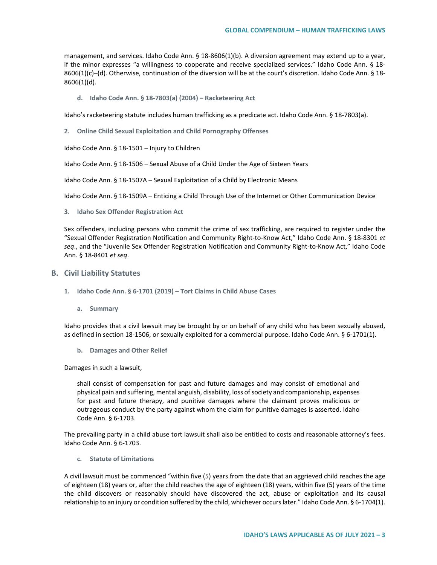management, and services. Idaho Code Ann. § 18-8606(1)(b). A diversion agreement may extend up to a year, if the minor expresses "a willingness to cooperate and receive specialized services." Idaho Code Ann. § 18- 8606(1)(c)–(d). Otherwise, continuation of the diversion will be at the court's discretion. Idaho Code Ann. § 18- 8606(1)(d).

**d. Idaho Code Ann. § 18-7803(a) (2004) – Racketeering Act**

Idaho's racketeering statute includes human trafficking as a predicate act. Idaho Code Ann. § 18-7803(a).

**2. Online Child Sexual Exploitation and Child Pornography Offenses**

Idaho Code Ann. § 18-1501 – Injury to Children

Idaho Code Ann. § 18-1506 – Sexual Abuse of a Child Under the Age of Sixteen Years

Idaho Code Ann. § 18-1507A – Sexual Exploitation of a Child by Electronic Means

Idaho Code Ann. § 18-1509A – Enticing a Child Through Use of the Internet or Other Communication Device

### **3. Idaho Sex Offender Registration Act**

Sex offenders, including persons who commit the crime of sex trafficking, are required to register under the "Sexual Offender Registration Notification and Community Right-to-Know Act," Idaho Code Ann. § 18-8301 *et seq*., and the "Juvenile Sex Offender Registration Notification and Community Right-to-Know Act," Idaho Code Ann. § 18-8401 *et seq*.

#### **B. Civil Liability Statutes**

- **1. Idaho Code Ann. § 6-1701 (2019) – Tort Claims in Child Abuse Cases**
	- **a. Summary**

Idaho provides that a civil lawsuit may be brought by or on behalf of any child who has been sexually abused, as defined in section 18-1506, or sexually exploited for a commercial purpose. Idaho Code Ann. § 6-1701(1).

**b. Damages and Other Relief**

Damages in such a lawsuit,

shall consist of compensation for past and future damages and may consist of emotional and physical pain and suffering, mental anguish, disability, loss of society and companionship, expenses for past and future therapy, and punitive damages where the claimant proves malicious or outrageous conduct by the party against whom the claim for punitive damages is asserted. Idaho Code Ann. § 6-1703.

The prevailing party in a child abuse tort lawsuit shall also be entitled to costs and reasonable attorney's fees. Idaho Code Ann. § 6-1703.

**c. Statute of Limitations**

A civil lawsuit must be commenced "within five (5) years from the date that an aggrieved child reaches the age of eighteen (18) years or, after the child reaches the age of eighteen (18) years, within five (5) years of the time the child discovers or reasonably should have discovered the act, abuse or exploitation and its causal relationship to an injury or condition suffered by the child, whichever occurs later." Idaho Code Ann. § 6-1704(1).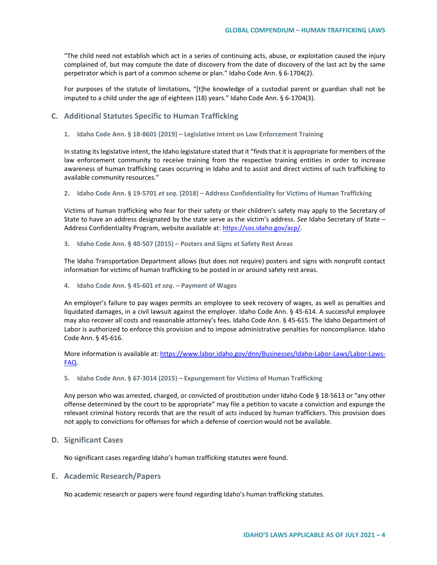"The child need not establish which act in a series of continuing acts, abuse, or exploitation caused the injury complained of, but may compute the date of discovery from the date of discovery of the last act by the same perpetrator which is part of a common scheme or plan." Idaho Code Ann. § 6-1704(2).

For purposes of the statute of limitations, "[t]he knowledge of a custodial parent or guardian shall not be imputed to a child under the age of eighteen (18) years." Idaho Code Ann. § 6-1704(3).

- **C. Additional Statutes Specific to Human Trafficking**
	- **1. Idaho Code Ann. § 18-8601 (2019) – Legislative Intent on Law Enforcement Training**

In stating its legislative intent, the Idaho legislature stated that it "finds that it is appropriate for members of the law enforcement community to receive training from the respective training entities in order to increase awareness of human trafficking cases occurring in Idaho and to assist and direct victims of such trafficking to available community resources."

**2. Idaho Code Ann. § 19-5701** *et seq***. (2018) – Address Confidentiality for Victims of Human Trafficking**

Victims of human trafficking who fear for their safety or their children's safety may apply to the Secretary of State to have an address designated by the state serve as the victim's address. *See* Idaho Secretary of State – Address Confidentiality Program, website available at: [https://sos.idaho.gov/acp/.](https://sos.idaho.gov/acp/)

**3. Idaho Code Ann. § 40-507 (2015) – Posters and Signs at Safety Rest Areas**

The Idaho Transportation Department allows (but does not require) posters and signs with nonprofit contact information for victims of human trafficking to be posted in or around safety rest areas.

**4. Idaho Code Ann. § 45-601** *et seq***. – Payment of Wages**

An employer's failure to pay wages permits an employee to seek recovery of wages, as well as penalties and liquidated damages, in a civil lawsuit against the employer. Idaho Code Ann. § 45-614. A successful employee may also recover all costs and reasonable attorney's fees. Idaho Code Ann. § 45-615. The Idaho Department of Labor is authorized to enforce this provision and to impose administrative penalties for noncompliance. Idaho Code Ann. § 45-616.

More information is available at[: https://www.labor.idaho.gov/dnn/Businesses/Idaho-Labor-Laws/Labor-Laws-](https://www.labor.idaho.gov/dnn/Businesses/Idaho-Labor-Laws/Labor-Laws-FAQ)[FAQ.](https://www.labor.idaho.gov/dnn/Businesses/Idaho-Labor-Laws/Labor-Laws-FAQ)

**5. Idaho Code Ann. § 67-3014 (2015) – Expungement for Victims of Human Trafficking** 

Any person who was arrested, charged, or convicted of prostitution under Idaho Code § 18-5613 or "any other offense determined by the court to be appropriate" may file a petition to vacate a conviction and expunge the relevant criminal history records that are the result of acts induced by human traffickers. This provision does not apply to convictions for offenses for which a defense of coercion would not be available.

**D. Significant Cases**

No significant cases regarding Idaho's human trafficking statutes were found.

# **E. Academic Research/Papers**

No academic research or papers were found regarding Idaho's human trafficking statutes.